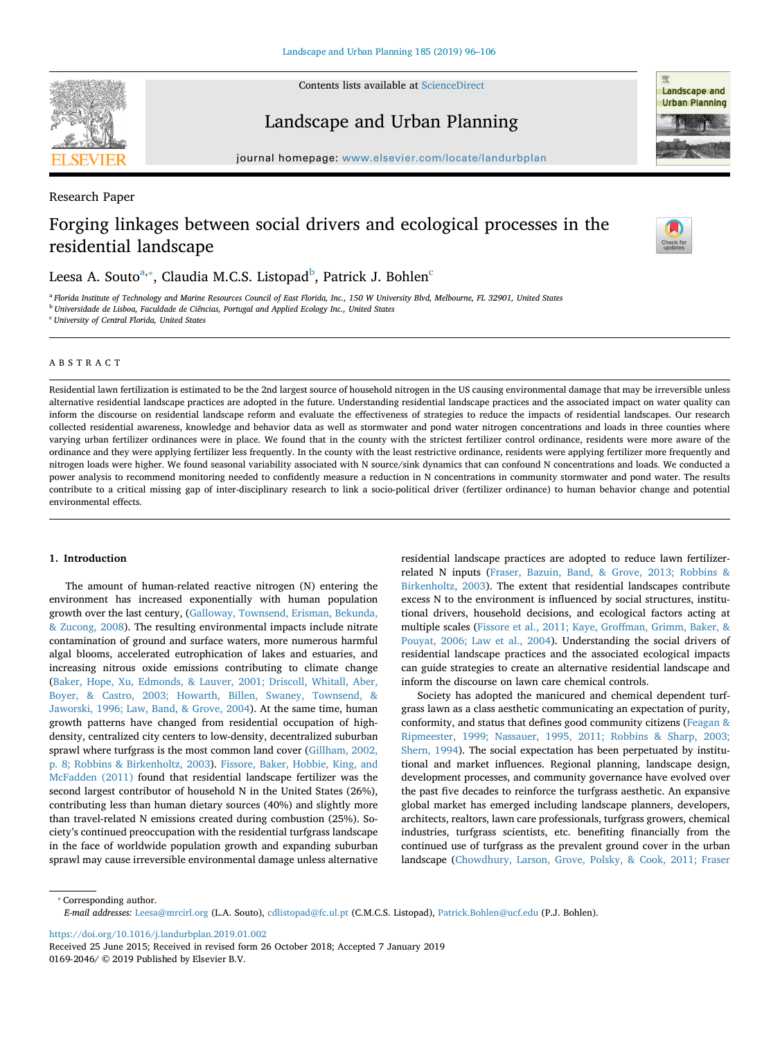Contents lists available at ScienceDirect



Landscape and Urban Planning



Research Paper

# Forging linkages between social drivers and ecological processes in the residential landscape



**Landscape and Urban Planning** 

Leesa A. Souto $^{\mathrm{a},*}$ , Claudia M.C.S. Listopad $^{\mathrm{b}}$ , Patrick J. Bohlen $^{\mathrm{c}}$ 

<sup>a</sup> *Florida Institute of Technology and Marine Resources Council of East Florida, Inc., 150 W University Blvd, Melbourne, FL 32901, United States* <sup>b</sup> *Universidade de Lisboa, Faculdade de Ciências, Portugal and Applied Ecology Inc., United States*

<sup>c</sup> *University of Central Florida, United States*

#### ABSTRACT

Residential lawn fertilization is estimated to be the 2nd largest source of household nitrogen in the US causing environmental damage that may be irreversible unless alternative residential landscape practices are adopted in the future. Understanding residential landscape practices and the associated impact on water quality can inform the discourse on residential landscape reform and evaluate the effectiveness of strategies to reduce the impacts of residential landscapes. Our research collected residential awareness, knowledge and behavior data as well as stormwater and pond water nitrogen concentrations and loads in three counties where varying urban fertilizer ordinances were in place. We found that in the county with the strictest fertilizer control ordinance, residents were more aware of the ordinance and they were applying fertilizer less frequently. In the county with the least restrictive ordinance, residents were applying fertilizer more frequently and nitrogen loads were higher. We found seasonal variability associated with N source/sink dynamics that can confound N concentrations and loads. We conducted a power analysis to recommend monitoring needed to confidently measure a reduction in N concentrations in community stormwater and pond water. The results contribute to a critical missing gap of inter-disciplinary research to link a socio-political driver (fertilizer ordinance) to human behavior change and potential environmental effects.

# **1. Introduction**

The amount of human-related reactive nitrogen (N) entering the environment has increased exponentially with human population growth over the last century, (Galloway, Townsend, Erisman, Bekunda, & Zucong, 2008). The resulting environmental impacts include nitrate contamination of ground and surface waters, more numerous harmful algal blooms, accelerated eutrophication of lakes and estuaries, and increasing nitrous oxide emissions contributing to climate change (Baker, Hope, Xu, Edmonds, & Lauver, 2001; Driscoll, Whitall, Aber, Boyer, & Castro, 2003; Howarth, Billen, Swaney, Townsend, & Jaworski, 1996; Law, Band, & Grove, 2004). At the same time, human growth patterns have changed from residential occupation of highdensity, centralized city centers to low-density, decentralized suburban sprawl where turfgrass is the most common land cover (Gillham, 2002, p. 8; Robbins & Birkenholtz, 2003). Fissore, Baker, Hobbie, King, and McFadden (2011) found that residential landscape fertilizer was the second largest contributor of household N in the United States (26%), contributing less than human dietary sources (40%) and slightly more than travel-related N emissions created during combustion (25%). Society's continued preoccupation with the residential turfgrass landscape in the face of worldwide population growth and expanding suburban sprawl may cause irreversible environmental damage unless alternative

residential landscape practices are adopted to reduce lawn fertilizerrelated N inputs (Fraser, Bazuin, Band, & Grove, 2013; Robbins & Birkenholtz, 2003). The extent that residential landscapes contribute excess N to the environment is influenced by social structures, institutional drivers, household decisions, and ecological factors acting at multiple scales (Fissore et al., 2011; Kaye, Groffman, Grimm, Baker, & Pouyat, 2006; Law et al., 2004). Understanding the social drivers of residential landscape practices and the associated ecological impacts can guide strategies to create an alternative residential landscape and inform the discourse on lawn care chemical controls.

Society has adopted the manicured and chemical dependent turfgrass lawn as a class aesthetic communicating an expectation of purity, conformity, and status that defines good community citizens (Feagan & Ripmeester, 1999; Nassauer, 1995, 2011; Robbins & Sharp, 2003; Shern, 1994). The social expectation has been perpetuated by institutional and market influences. Regional planning, landscape design, development processes, and community governance have evolved over the past five decades to reinforce the turfgrass aesthetic. An expansive global market has emerged including landscape planners, developers, architects, realtors, lawn care professionals, turfgrass growers, chemical industries, turfgrass scientists, etc. benefiting financially from the continued use of turfgrass as the prevalent ground cover in the urban landscape (Chowdhury, Larson, Grove, Polsky, & Cook, 2011; Fraser

⁎ Corresponding author. *E-mail addresses:* Leesa@mrcirl.org (L.A. Souto), cdlistopad@fc.ul.pt (C.M.C.S. Listopad), Patrick.Bohlen@ucf.edu (P.J. Bohlen).

https://doi.org/10.1016/j.landurbplan.2019.01.002

Received 25 June 2015; Received in revised form 26 October 2018; Accepted 7 January 2019 0169-2046/ © 2019 Published by Elsevier B.V.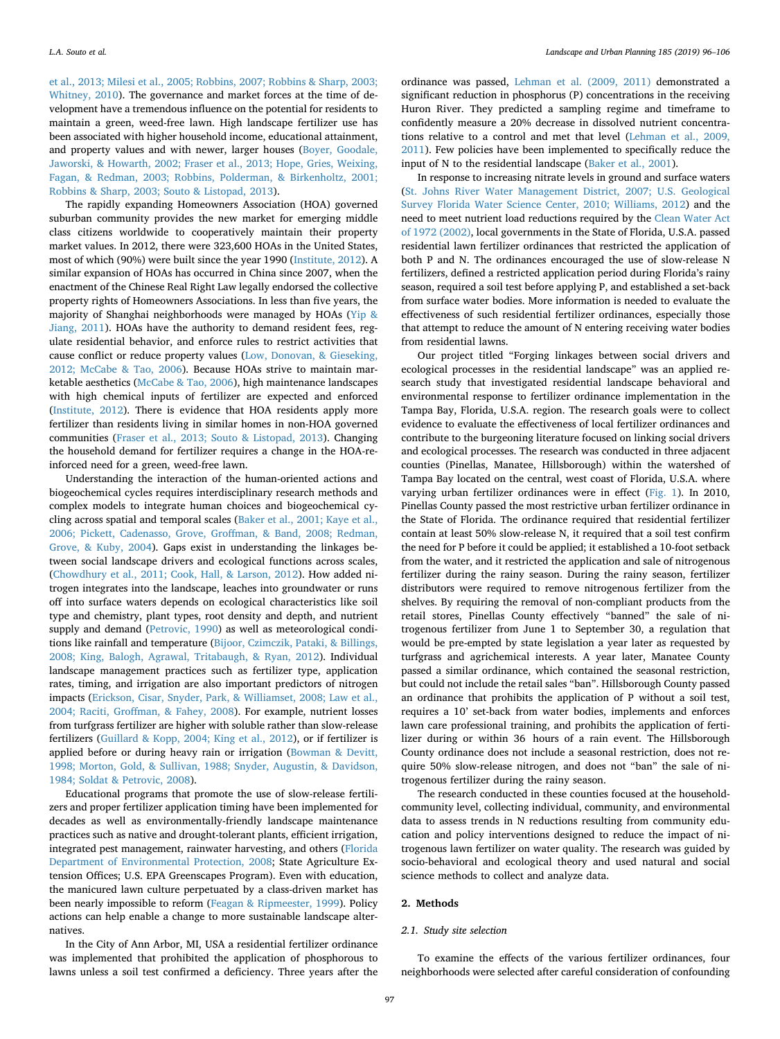et al., 2013; Milesi et al., 2005; Robbins, 2007; Robbins & Sharp, 2003; Whitney, 2010). The governance and market forces at the time of development have a tremendous influence on the potential for residents to maintain a green, weed-free lawn. High landscape fertilizer use has been associated with higher household income, educational attainment, and property values and with newer, larger houses (Boyer, Goodale, Jaworski, & Howarth, 2002; Fraser et al., 2013; Hope, Gries, Weixing, Fagan, & Redman, 2003; Robbins, Polderman, & Birkenholtz, 2001; Robbins & Sharp, 2003; Souto & Listopad, 2013).

The rapidly expanding Homeowners Association (HOA) governed suburban community provides the new market for emerging middle class citizens worldwide to cooperatively maintain their property market values. In 2012, there were 323,600 HOAs in the United States, most of which (90%) were built since the year 1990 (Institute, 2012). A similar expansion of HOAs has occurred in China since 2007, when the enactment of the Chinese Real Right Law legally endorsed the collective property rights of Homeowners Associations. In less than five years, the majority of Shanghai neighborhoods were managed by HOAs (Yip & Jiang, 2011). HOAs have the authority to demand resident fees, regulate residential behavior, and enforce rules to restrict activities that cause conflict or reduce property values (Low, Donovan, & Gieseking, 2012; McCabe & Tao, 2006). Because HOAs strive to maintain marketable aesthetics (McCabe & Tao, 2006), high maintenance landscapes with high chemical inputs of fertilizer are expected and enforced (Institute, 2012). There is evidence that HOA residents apply more fertilizer than residents living in similar homes in non-HOA governed communities (Fraser et al., 2013; Souto & Listopad, 2013). Changing the household demand for fertilizer requires a change in the HOA-reinforced need for a green, weed-free lawn.

Understanding the interaction of the human-oriented actions and biogeochemical cycles requires interdisciplinary research methods and complex models to integrate human choices and biogeochemical cycling across spatial and temporal scales (Baker et al., 2001; Kaye et al., 2006; Pickett, Cadenasso, Grove, Groffman, & Band, 2008; Redman, Grove, & Kuby, 2004). Gaps exist in understanding the linkages between social landscape drivers and ecological functions across scales, (Chowdhury et al., 2011; Cook, Hall, & Larson, 2012). How added nitrogen integrates into the landscape, leaches into groundwater or runs off into surface waters depends on ecological characteristics like soil type and chemistry, plant types, root density and depth, and nutrient supply and demand (Petrovic, 1990) as well as meteorological conditions like rainfall and temperature (Bijoor, Czimczik, Pataki, & Billings, 2008; King, Balogh, Agrawal, Tritabaugh, & Ryan, 2012). Individual landscape management practices such as fertilizer type, application rates, timing, and irrigation are also important predictors of nitrogen impacts (Erickson, Cisar, Snyder, Park, & Williamset, 2008; Law et al., 2004; Raciti, Groffman, & Fahey, 2008). For example, nutrient losses from turfgrass fertilizer are higher with soluble rather than slow-release fertilizers (Guillard & Kopp, 2004; King et al., 2012), or if fertilizer is applied before or during heavy rain or irrigation (Bowman & Devitt, 1998; Morton, Gold, & Sullivan, 1988; Snyder, Augustin, & Davidson, 1984; Soldat & Petrovic, 2008).

Educational programs that promote the use of slow-release fertilizers and proper fertilizer application timing have been implemented for decades as well as environmentally-friendly landscape maintenance practices such as native and drought-tolerant plants, efficient irrigation, integrated pest management, rainwater harvesting, and others (Florida Department of Environmental Protection, 2008; State Agriculture Extension Offices; U.S. EPA Greenscapes Program). Even with education, the manicured lawn culture perpetuated by a class-driven market has been nearly impossible to reform (Feagan & Ripmeester, 1999). Policy actions can help enable a change to more sustainable landscape alternatives.

In the City of Ann Arbor, MI, USA a residential fertilizer ordinance was implemented that prohibited the application of phosphorous to lawns unless a soil test confirmed a deficiency. Three years after the

ordinance was passed, Lehman et al. (2009, 2011) demonstrated a significant reduction in phosphorus (P) concentrations in the receiving Huron River. They predicted a sampling regime and timeframe to confidently measure a 20% decrease in dissolved nutrient concentrations relative to a control and met that level (Lehman et al., 2009, 2011). Few policies have been implemented to specifically reduce the input of N to the residential landscape (Baker et al., 2001).

In response to increasing nitrate levels in ground and surface waters (St. Johns River Water Management District, 2007; U.S. Geological Survey Florida Water Science Center, 2010; Williams, 2012) and the need to meet nutrient load reductions required by the Clean Water Act of 1972 (2002), local governments in the State of Florida, U.S.A. passed residential lawn fertilizer ordinances that restricted the application of both P and N. The ordinances encouraged the use of slow-release N fertilizers, defined a restricted application period during Florida's rainy season, required a soil test before applying P, and established a set-back from surface water bodies. More information is needed to evaluate the effectiveness of such residential fertilizer ordinances, especially those that attempt to reduce the amount of N entering receiving water bodies from residential lawns.

Our project titled "Forging linkages between social drivers and ecological processes in the residential landscape" was an applied research study that investigated residential landscape behavioral and environmental response to fertilizer ordinance implementation in the Tampa Bay, Florida, U.S.A. region. The research goals were to collect evidence to evaluate the effectiveness of local fertilizer ordinances and contribute to the burgeoning literature focused on linking social drivers and ecological processes. The research was conducted in three adjacent counties (Pinellas, Manatee, Hillsborough) within the watershed of Tampa Bay located on the central, west coast of Florida, U.S.A. where varying urban fertilizer ordinances were in effect (Fig. 1). In 2010, Pinellas County passed the most restrictive urban fertilizer ordinance in the State of Florida. The ordinance required that residential fertilizer contain at least 50% slow-release N, it required that a soil test confirm the need for P before it could be applied; it established a 10-foot setback from the water, and it restricted the application and sale of nitrogenous fertilizer during the rainy season. During the rainy season, fertilizer distributors were required to remove nitrogenous fertilizer from the shelves. By requiring the removal of non-compliant products from the retail stores, Pinellas County effectively "banned" the sale of nitrogenous fertilizer from June 1 to September 30, a regulation that would be pre-empted by state legislation a year later as requested by turfgrass and agrichemical interests. A year later, Manatee County passed a similar ordinance, which contained the seasonal restriction, but could not include the retail sales "ban". Hillsborough County passed an ordinance that prohibits the application of P without a soil test, requires a 10' set-back from water bodies, implements and enforces lawn care professional training, and prohibits the application of fertilizer during or within 36 hours of a rain event. The Hillsborough County ordinance does not include a seasonal restriction, does not require 50% slow-release nitrogen, and does not "ban" the sale of nitrogenous fertilizer during the rainy season.

The research conducted in these counties focused at the householdcommunity level, collecting individual, community, and environmental data to assess trends in N reductions resulting from community education and policy interventions designed to reduce the impact of nitrogenous lawn fertilizer on water quality. The research was guided by socio-behavioral and ecological theory and used natural and social science methods to collect and analyze data.

#### **2. Methods**

### *2.1. Study site selection*

To examine the effects of the various fertilizer ordinances, four neighborhoods were selected after careful consideration of confounding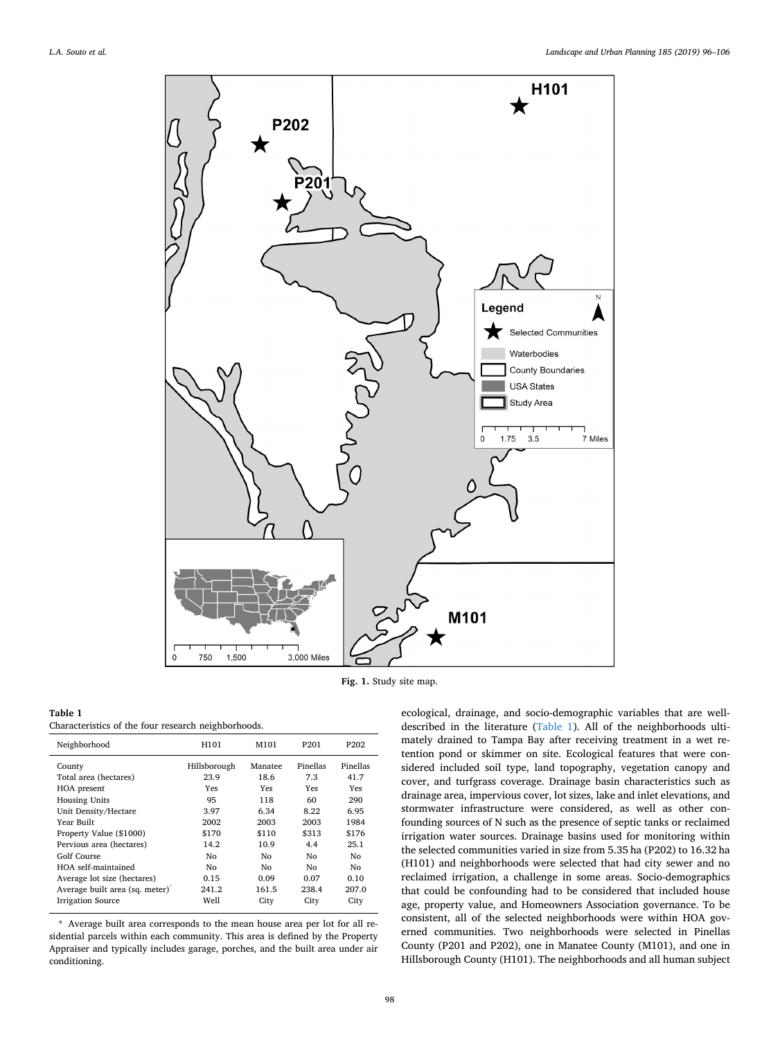

**Fig. 1.** Study site map.

Characteristics of the four research neighborhoods.

| Neighborhood                   | H <sub>101</sub> | M <sub>10</sub> 1 | P <sub>201</sub> | P <sub>202</sub> |
|--------------------------------|------------------|-------------------|------------------|------------------|
| County                         | Hillsborough     | Manatee           | Pinellas         | Pinellas         |
| Total area (hectares)          | 23.9             | 18.6              | 7.3              | 41.7             |
| HOA present                    | Yes              | Yes               | Yes              | Yes              |
| <b>Housing Units</b>           | 95               | 118               | 60               | 290              |
| Unit Density/Hectare           | 3.97             | 6.34              | 8.22             | 6.95             |
| Year Built                     | 2002             | 2003              | 2003             | 1984             |
| Property Value (\$1000)        | \$170            | \$110             | \$313            | \$176            |
| Pervious area (hectares)       | 14.2             | 10.9              | 4.4              | 25.1             |
| Golf Course                    | No               | No                | Nο               | No               |
| HOA self-maintained            | No               | No                | Nο               | No.              |
| Average lot size (hectares)    | 0.15             | 0.09              | 0.07             | 0.10             |
| Average built area (sq. meter) | 241.2            | 161.5             | 238.4            | 207.0            |
| <b>Irrigation Source</b>       | Well             | City              | City             | City             |

\* Average built area corresponds to the mean house area per lot for all residential parcels within each community. This area is defined by the Property Appraiser and typically includes garage, porches, and the built area under air conditioning.

ecological, drainage, and socio-demographic variables that are welldescribed in the literature (Table 1). All of the neighborhoods ultimately drained to Tampa Bay after receiving treatment in a wet retention pond or skimmer on site. Ecological features that were considered included soil type, land topography, vegetation canopy and cover, and turfgrass coverage. Drainage basin characteristics such as drainage area, impervious cover, lot sizes, lake and inlet elevations, and stormwater infrastructure were considered, as well as other confounding sources of N such as the presence of septic tanks or reclaimed irrigation water sources. Drainage basins used for monitoring within the selected communities varied in size from 5.35 ha (P202) to 16.32 ha (H101) and neighborhoods were selected that had city sewer and no reclaimed irrigation, a challenge in some areas. Socio-demographics that could be confounding had to be considered that included house age, property value, and Homeowners Association governance. To be consistent, all of the selected neighborhoods were within HOA governed communities. Two neighborhoods were selected in Pinellas County (P201 and P202), one in Manatee County (M101), and one in Hillsborough County (H101). The neighborhoods and all human subject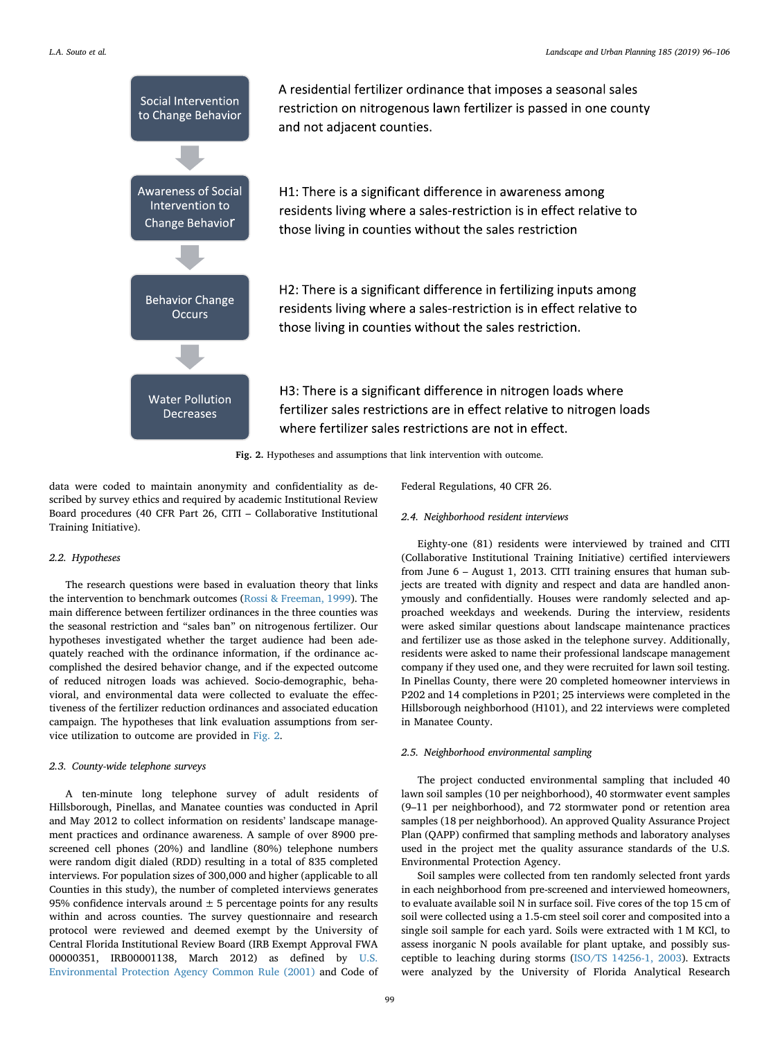

A residential fertilizer ordinance that imposes a seasonal sales restriction on nitrogenous lawn fertilizer is passed in one county and not adjacent counties.

H1: There is a significant difference in awareness among residents living where a sales-restriction is in effect relative to those living in counties without the sales restriction

H2: There is a significant difference in fertilizing inputs among residents living where a sales-restriction is in effect relative to those living in counties without the sales restriction.

H3: There is a significant difference in nitrogen loads where fertilizer sales restrictions are in effect relative to nitrogen loads where fertilizer sales restrictions are not in effect.

**Fig. 2.** Hypotheses and assumptions that link intervention with outcome.

data were coded to maintain anonymity and confidentiality as described by survey ethics and required by academic Institutional Review Board procedures (40 CFR Part 26, CITI – Collaborative Institutional Training Initiative).

# *2.2. Hypotheses*

The research questions were based in evaluation theory that links the intervention to benchmark outcomes (Rossi & Freeman, 1999). The main difference between fertilizer ordinances in the three counties was the seasonal restriction and "sales ban" on nitrogenous fertilizer. Our hypotheses investigated whether the target audience had been adequately reached with the ordinance information, if the ordinance accomplished the desired behavior change, and if the expected outcome of reduced nitrogen loads was achieved. Socio-demographic, behavioral, and environmental data were collected to evaluate the effectiveness of the fertilizer reduction ordinances and associated education campaign. The hypotheses that link evaluation assumptions from service utilization to outcome are provided in Fig. 2.

# *2.3. County-wide telephone surveys*

A ten-minute long telephone survey of adult residents of Hillsborough, Pinellas, and Manatee counties was conducted in April and May 2012 to collect information on residents' landscape management practices and ordinance awareness. A sample of over 8900 prescreened cell phones (20%) and landline (80%) telephone numbers were random digit dialed (RDD) resulting in a total of 835 completed interviews. For population sizes of 300,000 and higher (applicable to all Counties in this study), the number of completed interviews generates 95% confidence intervals around  $\pm$  5 percentage points for any results within and across counties. The survey questionnaire and research protocol were reviewed and deemed exempt by the University of Central Florida Institutional Review Board (IRB Exempt Approval FWA 00000351, IRB00001138, March 2012) as defined by U.S. Environmental Protection Agency Common Rule (2001) and Code of Federal Regulations, 40 CFR 26.

# *2.4. Neighborhood resident interviews*

Eighty-one (81) residents were interviewed by trained and CITI (Collaborative Institutional Training Initiative) certified interviewers from June 6 – August 1, 2013. CITI training ensures that human subjects are treated with dignity and respect and data are handled anonymously and confidentially. Houses were randomly selected and approached weekdays and weekends. During the interview, residents were asked similar questions about landscape maintenance practices and fertilizer use as those asked in the telephone survey. Additionally, residents were asked to name their professional landscape management company if they used one, and they were recruited for lawn soil testing. In Pinellas County, there were 20 completed homeowner interviews in P202 and 14 completions in P201; 25 interviews were completed in the Hillsborough neighborhood (H101), and 22 interviews were completed in Manatee County.

# *2.5. Neighborhood environmental sampling*

The project conducted environmental sampling that included 40 lawn soil samples (10 per neighborhood), 40 stormwater event samples (9–11 per neighborhood), and 72 stormwater pond or retention area samples (18 per neighborhood). An approved Quality Assurance Project Plan (QAPP) confirmed that sampling methods and laboratory analyses used in the project met the quality assurance standards of the U.S. Environmental Protection Agency.

Soil samples were collected from ten randomly selected front yards in each neighborhood from pre-screened and interviewed homeowners, to evaluate available soil N in surface soil. Five cores of the top 15 cm of soil were collected using a 1.5-cm steel soil corer and composited into a single soil sample for each yard. Soils were extracted with 1 M KCl, to assess inorganic N pools available for plant uptake, and possibly susceptible to leaching during storms (ISO/TS 14256-1, 2003). Extracts were analyzed by the University of Florida Analytical Research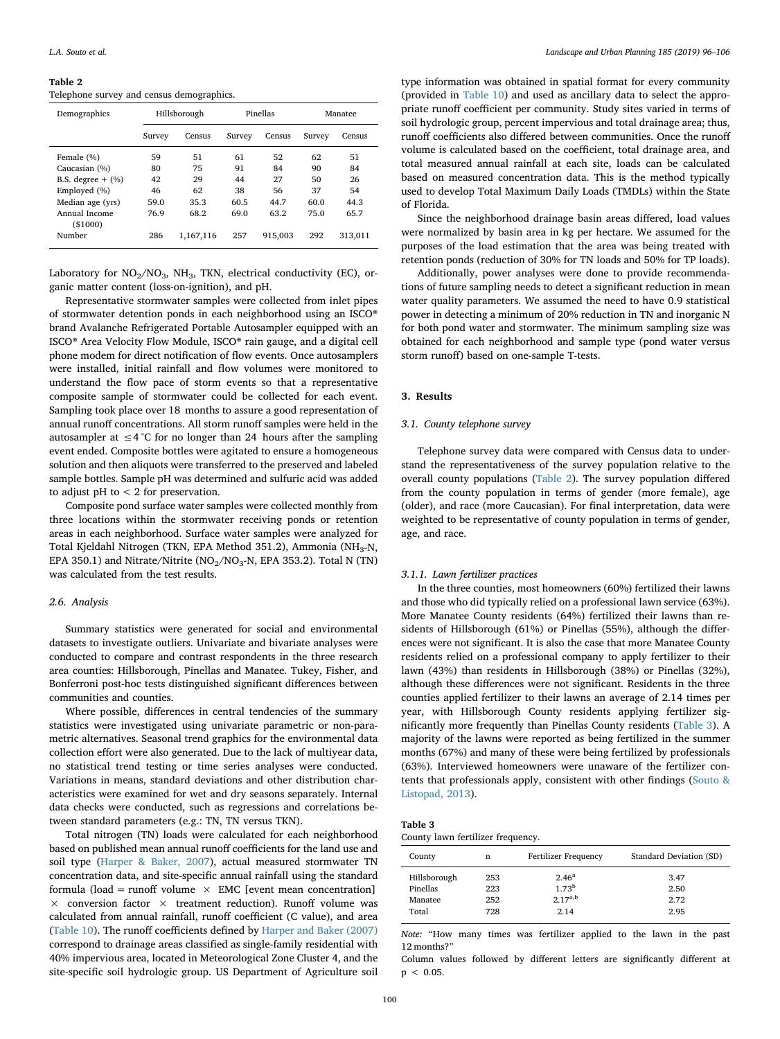**Table 2** Telephone survey and census demographics.

| Demographics                 |        | Hillsborough |        | Pinellas |        | Manatee |  |
|------------------------------|--------|--------------|--------|----------|--------|---------|--|
|                              | Survey | Census       | Survey | Census   | Survey | Census  |  |
| Female (%)                   | 59     | 51           | 61     | 52       | 62     | 51      |  |
| Caucasian (%)                | 80     | 75           | 91     | 84       | 90     | 84      |  |
| B.S. degree $+$ $(\%)$       | 42     | 29           | 44     | 27       | 50     | 26      |  |
| Employed (%)                 | 46     | 62           | 38     | 56       | 37     | 54      |  |
| Median age (yrs)             | 59.0   | 35.3         | 60.5   | 44.7     | 60.0   | 44.3    |  |
| Annual Income<br>$($ \$1000) | 76.9   | 68.2         | 69.0   | 63.2     | 75.0   | 65.7    |  |
| Number                       | 286    | 1.167.116    | 257    | 915.003  | 292    | 313.011 |  |

Laboratory for  $NO<sub>2</sub>/NO<sub>3</sub>$ , NH<sub>3</sub>, TKN, electrical conductivity (EC), organic matter content (loss-on-ignition), and pH.

Representative stormwater samples were collected from inlet pipes of stormwater detention ponds in each neighborhood using an ISCO® brand Avalanche Refrigerated Portable Autosampler equipped with an ISCO® Area Velocity Flow Module, ISCO® rain gauge, and a digital cell phone modem for direct notification of flow events. Once autosamplers were installed, initial rainfall and flow volumes were monitored to understand the flow pace of storm events so that a representative composite sample of stormwater could be collected for each event. Sampling took place over 18 months to assure a good representation of annual runoff concentrations. All storm runoff samples were held in the autosampler at  $\leq$  4 °C for no longer than 24 hours after the sampling event ended. Composite bottles were agitated to ensure a homogeneous solution and then aliquots were transferred to the preserved and labeled sample bottles. Sample pH was determined and sulfuric acid was added to adjust pH to  $<$  2 for preservation.

Composite pond surface water samples were collected monthly from three locations within the stormwater receiving ponds or retention areas in each neighborhood. Surface water samples were analyzed for Total Kjeldahl Nitrogen (TKN, EPA Method 351.2), Ammonia (NH<sub>3</sub>-N, EPA 350.1) and Nitrate/Nitrite ( $NO<sub>2</sub>/NO<sub>3</sub>$ -N, EPA 353.2). Total N (TN) was calculated from the test results.

# *2.6. Analysis*

Summary statistics were generated for social and environmental datasets to investigate outliers. Univariate and bivariate analyses were conducted to compare and contrast respondents in the three research area counties: Hillsborough, Pinellas and Manatee. Tukey, Fisher, and Bonferroni post-hoc tests distinguished significant differences between communities and counties.

Where possible, differences in central tendencies of the summary statistics were investigated using univariate parametric or non-parametric alternatives. Seasonal trend graphics for the environmental data collection effort were also generated. Due to the lack of multiyear data, no statistical trend testing or time series analyses were conducted. Variations in means, standard deviations and other distribution characteristics were examined for wet and dry seasons separately. Internal data checks were conducted, such as regressions and correlations between standard parameters (e.g.: TN, TN versus TKN).

Total nitrogen (TN) loads were calculated for each neighborhood based on published mean annual runoff coefficients for the land use and soil type (Harper & Baker, 2007), actual measured stormwater TN concentration data, and site-specific annual rainfall using the standard formula (load = runoff volume  $\times$  EMC [event mean concentration]  $\times$  conversion factor  $\times$  treatment reduction). Runoff volume was calculated from annual rainfall, runoff coefficient (C value), and area (Table 10). The runoff coefficients defined by Harper and Baker (2007) correspond to drainage areas classified as single-family residential with 40% impervious area, located in Meteorological Zone Cluster 4, and the site-specific soil hydrologic group. US Department of Agriculture soil

type information was obtained in spatial format for every community (provided in Table 10) and used as ancillary data to select the appropriate runoff coefficient per community. Study sites varied in terms of soil hydrologic group, percent impervious and total drainage area; thus, runoff coefficients also differed between communities. Once the runoff volume is calculated based on the coefficient, total drainage area, and total measured annual rainfall at each site, loads can be calculated based on measured concentration data. This is the method typically used to develop Total Maximum Daily Loads (TMDLs) within the State of Florida.

Since the neighborhood drainage basin areas differed, load values were normalized by basin area in kg per hectare. We assumed for the purposes of the load estimation that the area was being treated with retention ponds (reduction of 30% for TN loads and 50% for TP loads).

Additionally, power analyses were done to provide recommendations of future sampling needs to detect a significant reduction in mean water quality parameters. We assumed the need to have 0.9 statistical power in detecting a minimum of 20% reduction in TN and inorganic N for both pond water and stormwater. The minimum sampling size was obtained for each neighborhood and sample type (pond water versus storm runoff) based on one-sample T-tests.

# **3. Results**

### *3.1. County telephone survey*

Telephone survey data were compared with Census data to understand the representativeness of the survey population relative to the overall county populations (Table 2). The survey population differed from the county population in terms of gender (more female), age (older), and race (more Caucasian). For final interpretation, data were weighted to be representative of county population in terms of gender, age, and race.

# *3.1.1. Lawn fertilizer practices*

In the three counties, most homeowners (60%) fertilized their lawns and those who did typically relied on a professional lawn service (63%). More Manatee County residents (64%) fertilized their lawns than residents of Hillsborough (61%) or Pinellas (55%), although the differences were not significant. It is also the case that more Manatee County residents relied on a professional company to apply fertilizer to their lawn (43%) than residents in Hillsborough (38%) or Pinellas (32%), although these differences were not significant. Residents in the three counties applied fertilizer to their lawns an average of 2.14 times per year, with Hillsborough County residents applying fertilizer significantly more frequently than Pinellas County residents (Table 3). A majority of the lawns were reported as being fertilized in the summer months (67%) and many of these were being fertilized by professionals (63%). Interviewed homeowners were unaware of the fertilizer contents that professionals apply, consistent with other findings (Souto & Listopad, 2013).

| Table 3                           |  |
|-----------------------------------|--|
| County lawn fertilizer frequency. |  |

| County       | n   | Fertilizer Frequency | Standard Deviation (SD) |
|--------------|-----|----------------------|-------------------------|
| Hillsborough | 253 | $2.46^{\rm a}$       | 3.47                    |
| Pinellas     | 223 | 1.73 <sup>b</sup>    | 2.50                    |
| Manatee      | 252 | $2.17^{a,b}$         | 2.72                    |
| Total        | 728 | 2.14                 | 2.95                    |

*Note:* "How many times was fertilizer applied to the lawn in the past 12 months?"

Column values followed by different letters are significantly different at  $p < 0.05$ .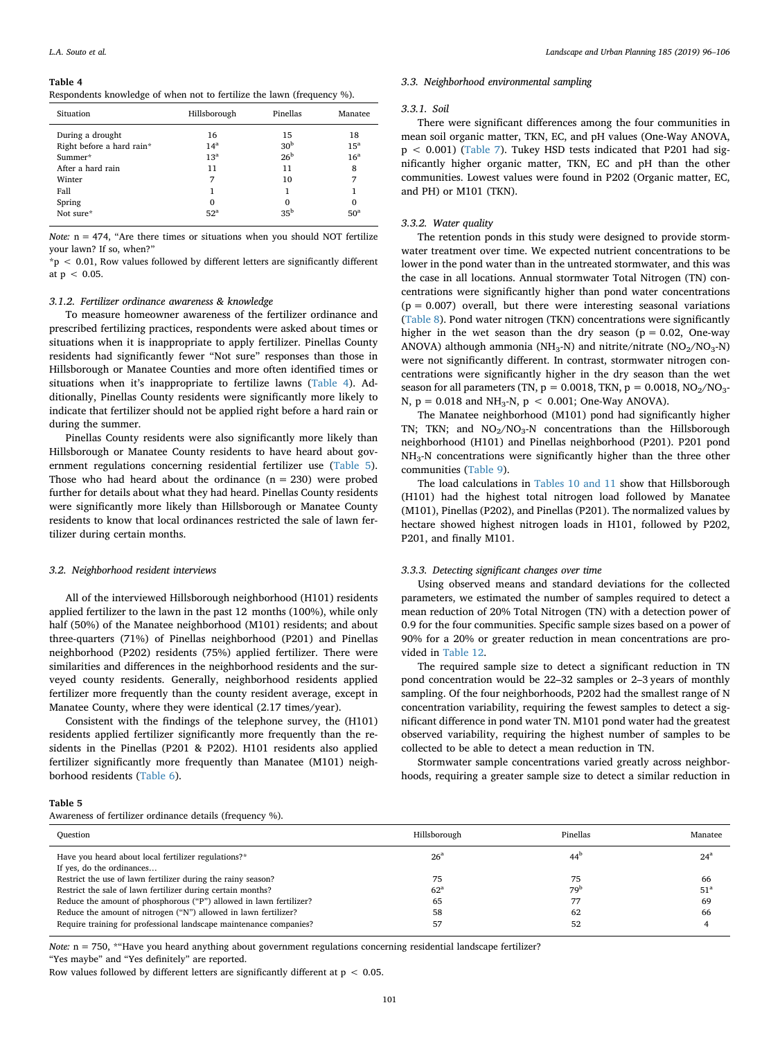Respondents knowledge of when not to fertilize the lawn (frequency %).

| Situation                 | Hillsborough    | Pinellas        | Manatee         |
|---------------------------|-----------------|-----------------|-----------------|
| During a drought          | 16              | 15              | 18              |
| Right before a hard rain* | 14 <sup>a</sup> | 30 <sup>b</sup> | 15 <sup>a</sup> |
| Summer*                   | 13 <sup>a</sup> | 26 <sup>b</sup> | 16 <sup>a</sup> |
| After a hard rain         | 11              | 11              | 8               |
| Winter                    | 7               | 10              | 7               |
| Fall                      | 1               | 1               |                 |
| Spring                    | $\Omega$        | 0               | 0               |
| Not sure*                 | 52 <sup>a</sup> | 35 <sup>b</sup> | 50 <sup>a</sup> |

*Note:*  $n = 474$ , "Are there times or situations when you should NOT fertilize your lawn? If so, when?"

 $*p < 0.01$ , Row values followed by different letters are significantly different at p < 0.05.

# *3.1.2. Fertilizer ordinance awareness & knowledge*

To measure homeowner awareness of the fertilizer ordinance and prescribed fertilizing practices, respondents were asked about times or situations when it is inappropriate to apply fertilizer. Pinellas County residents had significantly fewer "Not sure" responses than those in Hillsborough or Manatee Counties and more often identified times or situations when it's inappropriate to fertilize lawns (Table 4). Additionally, Pinellas County residents were significantly more likely to indicate that fertilizer should not be applied right before a hard rain or during the summer.

Pinellas County residents were also significantly more likely than Hillsborough or Manatee County residents to have heard about government regulations concerning residential fertilizer use (Table 5). Those who had heard about the ordinance  $(n = 230)$  were probed further for details about what they had heard. Pinellas County residents were significantly more likely than Hillsborough or Manatee County residents to know that local ordinances restricted the sale of lawn fertilizer during certain months.

#### *3.2. Neighborhood resident interviews*

All of the interviewed Hillsborough neighborhood (H101) residents applied fertilizer to the lawn in the past 12 months (100%), while only half (50%) of the Manatee neighborhood (M101) residents; and about three-quarters (71%) of Pinellas neighborhood (P201) and Pinellas neighborhood (P202) residents (75%) applied fertilizer. There were similarities and differences in the neighborhood residents and the surveyed county residents. Generally, neighborhood residents applied fertilizer more frequently than the county resident average, except in Manatee County, where they were identical (2.17 times/year).

Consistent with the findings of the telephone survey, the (H101) residents applied fertilizer significantly more frequently than the residents in the Pinellas (P201 & P202). H101 residents also applied fertilizer significantly more frequently than Manatee (M101) neighborhood residents (Table 6).

#### *3.3. Neighborhood environmental sampling*

#### *3.3.1. Soil*

There were significant differences among the four communities in mean soil organic matter, TKN, EC, and pH values (One-Way ANOVA, p < 0.001) (Table 7). Tukey HSD tests indicated that P201 had significantly higher organic matter, TKN, EC and pH than the other communities. Lowest values were found in P202 (Organic matter, EC, and PH) or M101 (TKN).

# *3.3.2. Water quality*

The retention ponds in this study were designed to provide stormwater treatment over time. We expected nutrient concentrations to be lower in the pond water than in the untreated stormwater, and this was the case in all locations. Annual stormwater Total Nitrogen (TN) concentrations were significantly higher than pond water concentrations  $(p = 0.007)$  overall, but there were interesting seasonal variations (Table 8). Pond water nitrogen (TKN) concentrations were significantly higher in the wet season than the dry season ( $p = 0.02$ , One-way ANOVA) although ammonia ( $NH<sub>3</sub>-N$ ) and nitrite/nitrate ( $NO<sub>2</sub>/NO<sub>3</sub>-N$ ) were not significantly different. In contrast, stormwater nitrogen concentrations were significantly higher in the dry season than the wet season for all parameters (TN,  $p = 0.0018$ , TKN,  $p = 0.0018$ , NO<sub>2</sub>/NO<sub>3</sub>-N,  $p = 0.018$  and NH<sub>3</sub>-N,  $p < 0.001$ ; One-Way ANOVA).

The Manatee neighborhood (M101) pond had significantly higher TN; TKN; and  $NO<sub>2</sub>/NO<sub>3</sub>-N$  concentrations than the Hillsborough neighborhood (H101) and Pinellas neighborhood (P201). P201 pond NH3-N concentrations were significantly higher than the three other communities (Table 9).

The load calculations in Tables 10 and 11 show that Hillsborough (H101) had the highest total nitrogen load followed by Manatee (M101), Pinellas (P202), and Pinellas (P201). The normalized values by hectare showed highest nitrogen loads in H101, followed by P202, P201, and finally M101.

#### *3.3.3. Detecting significant changes over time*

Using observed means and standard deviations for the collected parameters, we estimated the number of samples required to detect a mean reduction of 20% Total Nitrogen (TN) with a detection power of 0.9 for the four communities. Specific sample sizes based on a power of 90% for a 20% or greater reduction in mean concentrations are provided in Table 12.

The required sample size to detect a significant reduction in TN pond concentration would be 22–32 samples or 2–3 years of monthly sampling. Of the four neighborhoods, P202 had the smallest range of N concentration variability, requiring the fewest samples to detect a significant difference in pond water TN. M101 pond water had the greatest observed variability, requiring the highest number of samples to be collected to be able to detect a mean reduction in TN.

Stormwater sample concentrations varied greatly across neighborhoods, requiring a greater sample size to detect a similar reduction in

#### **Table 5**

Awareness of fertilizer ordinance details (frequency %).

| <b>Question</b>                                                                  | Hillsborough    | Pinellas        | Manatee         |
|----------------------------------------------------------------------------------|-----------------|-----------------|-----------------|
| Have you heard about local fertilizer regulations?*<br>If yes, do the ordinances | 26 <sup>a</sup> | $44^{\circ}$    | $24^{\circ}$    |
| Restrict the use of lawn fertilizer during the rainy season?                     | 75              | 75              | 66              |
| Restrict the sale of lawn fertilizer during certain months?                      | $62^{\circ}$    | 79 <sup>b</sup> | 51 <sup>a</sup> |
| Reduce the amount of phosphorous ("P") allowed in lawn fertilizer?               | 65              | 77              | 69              |
| Reduce the amount of nitrogen ("N") allowed in lawn fertilizer?                  | 58              | 62              | 66              |
| Require training for professional landscape maintenance companies?               | 57              | 52              |                 |
|                                                                                  |                 |                 |                 |

*Note:* n = 750, \*"Have you heard anything about government regulations concerning residential landscape fertilizer? "Yes maybe" and "Yes definitely" are reported.

Row values followed by different letters are significantly different at  $p < 0.05$ .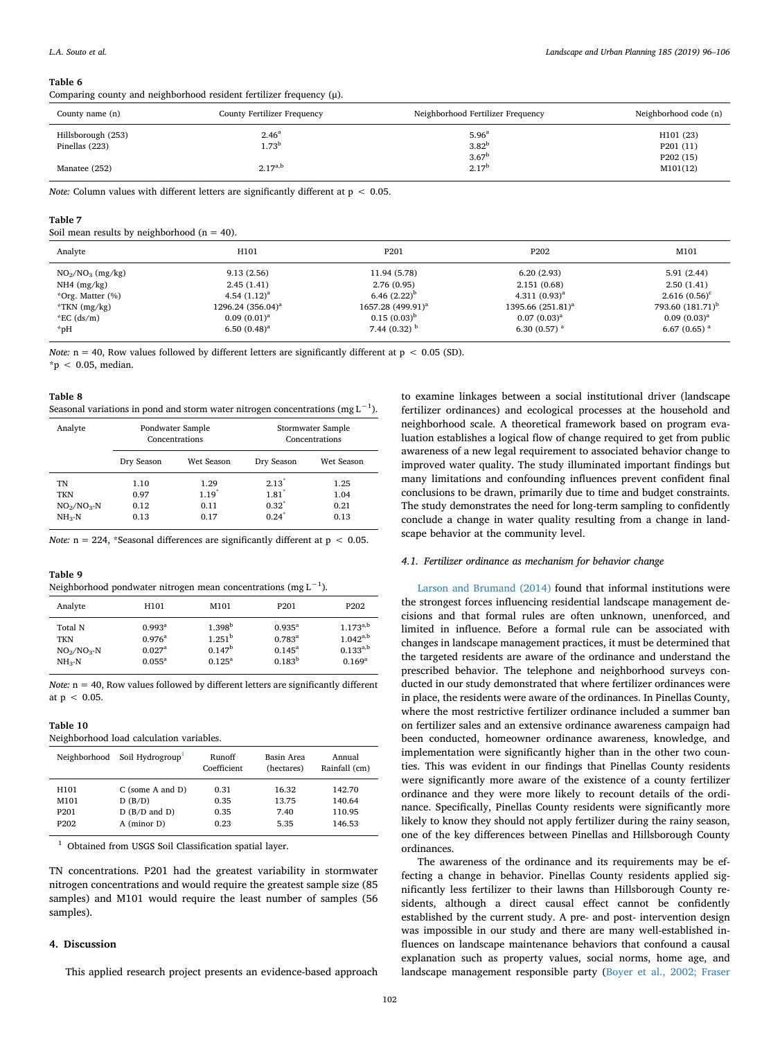Comparing county and neighborhood resident fertilizer frequency (μ).

| County name (n)                      | County Fertilizer Frequency         | Neighborhood Fertilizer Frequency           | Neighborhood code (n)              |
|--------------------------------------|-------------------------------------|---------------------------------------------|------------------------------------|
| Hillsborough (253)<br>Pinellas (223) | 2.46 <sup>a</sup><br>$1.73^{\rm b}$ | 5.96 <sup>a</sup><br>$3.82^{b}$<br>$3.67^b$ | H101 (23)<br>P201 (11)<br>P202(15) |
| Manatee (252)                        | $2.17^{a,b}$                        | $2.17^{b}$                                  | M101(12)                           |

*Note:* Column values with different letters are significantly different at  $p < 0.05$ .

### **Table 7**

Soil mean results by neighborhood  $(n = 40)$ .

| Analyte               | H101                            | P <sub>201</sub>              | P <sub>202</sub>              | M101                         |
|-----------------------|---------------------------------|-------------------------------|-------------------------------|------------------------------|
| $NO2/NO3$ (mg/kg)     | 9.13(2.56)                      | 11.94 (5.78)                  | 6.20(2.93)                    | 5.91(2.44)                   |
| $NH4$ (mg/kg)         | 2.45(1.41)                      | 2.76(0.95)                    | 2.151(0.68)                   | 2.50(1.41)                   |
| *Org. Matter (%)      | 4.54 $(1.12)^a$                 | 6.46 $(2.22)^{b}$             | 4.311 $(0.93)^{a}$            | $2.616(0.56)^c$              |
| $*TKN$ (mg/kg)        | $1296.24$ (356.04) <sup>a</sup> | 1657.28 (499.91) <sup>a</sup> | 1395.66 (251.81) <sup>a</sup> | 793.60 (181.71) <sup>b</sup> |
| E <sub>c</sub> (ds/m) | $0.09(0.01)^a$                  | $0.15(0.03)^{b}$              | $0.07(0.03)^{a}$              | $0.09(0.03)^{a}$             |
| $*_{\rm pH}$          | 6.50 $(0.48)^a$                 | 7.44 $(0.32)$ <sup>b</sup>    | 6.30 (0.57) $^{\rm a}$        | 6.67 (0.65) $^{\rm a}$       |

*Note:*  $n = 40$ , Row values followed by different letters are significantly different at  $p < 0.05$  (SD).  $*<sub>p</sub> < 0.05$ , median.

| Table 8                                                                             |
|-------------------------------------------------------------------------------------|
| Seasonal variations in pond and storm water nitrogen concentrations (mg $L^{-1}$ ). |

| Analyte                                    | Pondwater Sample<br>Concentrations |                                    |                                                                 | Stormwater Sample<br>Concentrations |
|--------------------------------------------|------------------------------------|------------------------------------|-----------------------------------------------------------------|-------------------------------------|
|                                            | Dry Season                         | Wet Season                         | Dry Season                                                      | Wet Season                          |
| TN<br><b>TKN</b><br>$NO2/NO3-N$<br>$NH3-N$ | 1.10<br>0.97<br>0.12<br>0.13       | 1.29<br>$1.19^{1}$<br>0.11<br>0.17 | $2.13^{\circ}$<br>$1.81$ <sup>*</sup><br>$0.32^*$<br>$0.24^{*}$ | 1.25<br>1.04<br>0.21<br>0.13        |

*Note:*  $n = 224$ , \*Seasonal differences are significantly different at  $p < 0.05$ .

**Table 9**

|  |  | Neighborhood pondwater nitrogen mean concentrations (mg $L^{-1}$ ). |  |
|--|--|---------------------------------------------------------------------|--|
|  |  |                                                                     |  |

| Analyte     | H101               | M101               | P <sub>201</sub> | P <sub>202</sub>   |
|-------------|--------------------|--------------------|------------------|--------------------|
| Total N     | $0.993^{\rm a}$    | 1.398 <sup>b</sup> | $0.935^{\rm a}$  | $1.173^{a,b}$      |
| TKN         | $0.976^{\rm a}$    | 1.251 <sup>b</sup> | $0.783^{\rm a}$  | $1.042^{a,b}$      |
| $NO2/NO3-N$ | 0.027 <sup>a</sup> | 0.147 <sup>b</sup> | $0.145^{\rm a}$  | $0.133^{a,b}$      |
| $NH_{3}-N$  | $0.055^{\rm a}$    | $0.125^{\rm a}$    | $0.183^{b}$      | 0.169 <sup>a</sup> |

*Note:*  $n = 40$ , Row values followed by different letters are significantly different at  $p < 0.05$ .

#### **Table 10**

| Neighborhood      | Soil Hydrogroup       | Runoff<br>Coefficient | Basin Area<br>(hectares) | Annual<br>Rainfall (cm) |
|-------------------|-----------------------|-----------------------|--------------------------|-------------------------|
| H <sub>101</sub>  | C (some A and D)      | 0.31                  | 16.32                    | 142.70                  |
| M <sub>10</sub> 1 | D(B/D)                | 0.35                  | 13.75                    | 140.64                  |
| P <sub>201</sub>  | $D$ ( $B/D$ and $D$ ) | 0.35                  | 7.40                     | 110.95                  |
| P <sub>202</sub>  | A (minor D)           | 0.23                  | 5.35                     | 146.53                  |

<sup>1</sup> Obtained from USGS Soil Classification spatial layer.

TN concentrations. P201 had the greatest variability in stormwater nitrogen concentrations and would require the greatest sample size (85 samples) and M101 would require the least number of samples (56 samples).

### **4. Discussion**

This applied research project presents an evidence-based approach

to examine linkages between a social institutional driver (landscape fertilizer ordinances) and ecological processes at the household and neighborhood scale. A theoretical framework based on program evaluation establishes a logical flow of change required to get from public awareness of a new legal requirement to associated behavior change to improved water quality. The study illuminated important findings but many limitations and confounding influences prevent confident final conclusions to be drawn, primarily due to time and budget constraints. The study demonstrates the need for long-term sampling to confidently conclude a change in water quality resulting from a change in landscape behavior at the community level.

# *4.1. Fertilizer ordinance as mechanism for behavior change*

Larson and Brumand (2014) found that informal institutions were the strongest forces influencing residential landscape management decisions and that formal rules are often unknown, unenforced, and limited in influence. Before a formal rule can be associated with changes in landscape management practices, it must be determined that the targeted residents are aware of the ordinance and understand the prescribed behavior. The telephone and neighborhood surveys conducted in our study demonstrated that where fertilizer ordinances were in place, the residents were aware of the ordinances. In Pinellas County, where the most restrictive fertilizer ordinance included a summer ban on fertilizer sales and an extensive ordinance awareness campaign had been conducted, homeowner ordinance awareness, knowledge, and implementation were significantly higher than in the other two counties. This was evident in our findings that Pinellas County residents were significantly more aware of the existence of a county fertilizer ordinance and they were more likely to recount details of the ordinance. Specifically, Pinellas County residents were significantly more likely to know they should not apply fertilizer during the rainy season, one of the key differences between Pinellas and Hillsborough County ordinances.

The awareness of the ordinance and its requirements may be effecting a change in behavior. Pinellas County residents applied significantly less fertilizer to their lawns than Hillsborough County residents, although a direct causal effect cannot be confidently established by the current study. A pre- and post- intervention design was impossible in our study and there are many well-established influences on landscape maintenance behaviors that confound a causal explanation such as property values, social norms, home age, and landscape management responsible party (Boyer et al., 2002; Fraser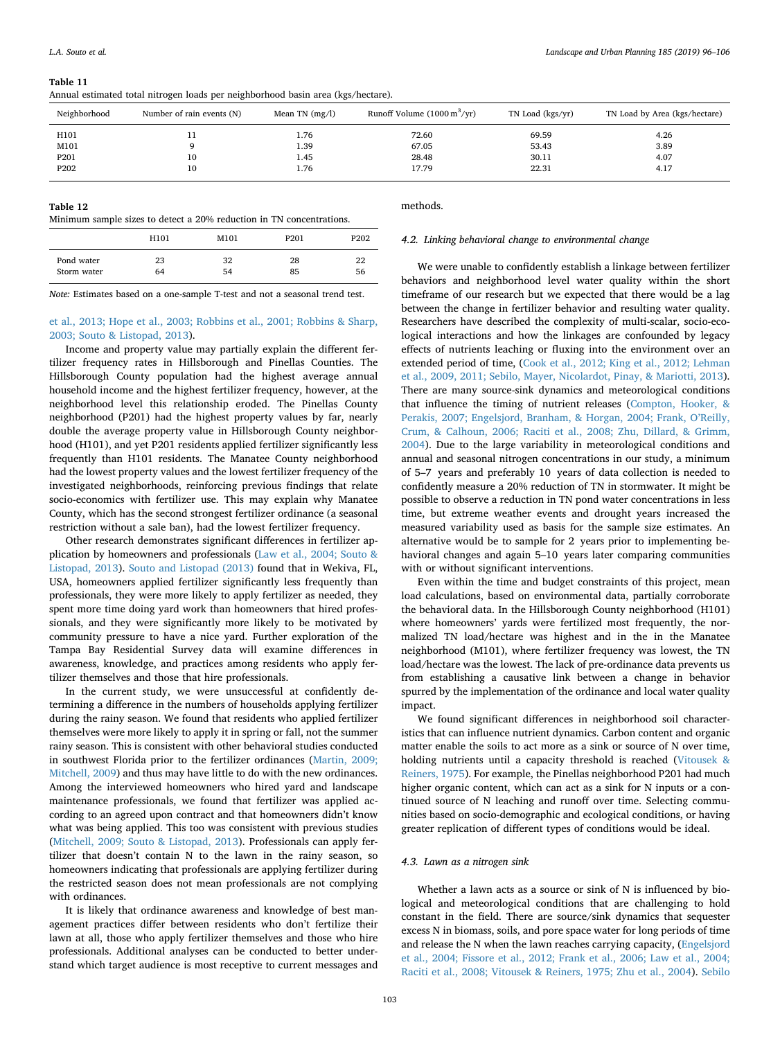Annual estimated total nitrogen loads per neighborhood basin area (kgs/hectare).

| Neighborhood     | Number of rain events (N) | Mean TN $(mg/l)$ | Runoff Volume $(1000 \text{ m}^3/\text{yr})$ | TN Load (kgs/yr) | TN Load by Area (kgs/hectare) |
|------------------|---------------------------|------------------|----------------------------------------------|------------------|-------------------------------|
| H101             | 11                        | 1.76             | 72.60                                        | 69.59            | 4.26                          |
| M101             |                           | 1.39             | 67.05                                        | 53.43            | 3.89                          |
| P201             | 10                        | 1.45             | 28.48                                        | 30.11            | 4.07                          |
| P <sub>202</sub> | 10                        | 1.76             | 17.79                                        | 22.31            | 4.17                          |
|                  |                           |                  |                                              |                  |                               |

#### **Table 12**

Minimum sample sizes to detect a 20% reduction in TN concentrations.

|             | H <sub>101</sub> | M101 | P <sub>201</sub> | P <sub>202</sub> |
|-------------|------------------|------|------------------|------------------|
| Pond water  | 23               | 32   | 28               | 22               |
| Storm water | 64               | 54   | 85               | 56               |

*Note:* Estimates based on a one-sample T-test and not a seasonal trend test.

# et al., 2013; Hope et al., 2003; Robbins et al., 2001; Robbins & Sharp, 2003; Souto & Listopad, 2013).

Income and property value may partially explain the different fertilizer frequency rates in Hillsborough and Pinellas Counties. The Hillsborough County population had the highest average annual household income and the highest fertilizer frequency, however, at the neighborhood level this relationship eroded. The Pinellas County neighborhood (P201) had the highest property values by far, nearly double the average property value in Hillsborough County neighborhood (H101), and yet P201 residents applied fertilizer significantly less frequently than H101 residents. The Manatee County neighborhood had the lowest property values and the lowest fertilizer frequency of the investigated neighborhoods, reinforcing previous findings that relate socio-economics with fertilizer use. This may explain why Manatee County, which has the second strongest fertilizer ordinance (a seasonal restriction without a sale ban), had the lowest fertilizer frequency.

Other research demonstrates significant differences in fertilizer application by homeowners and professionals (Law et al., 2004; Souto & Listopad, 2013). Souto and Listopad (2013) found that in Wekiva, FL, USA, homeowners applied fertilizer significantly less frequently than professionals, they were more likely to apply fertilizer as needed, they spent more time doing yard work than homeowners that hired professionals, and they were significantly more likely to be motivated by community pressure to have a nice yard. Further exploration of the Tampa Bay Residential Survey data will examine differences in awareness, knowledge, and practices among residents who apply fertilizer themselves and those that hire professionals.

In the current study, we were unsuccessful at confidently determining a difference in the numbers of households applying fertilizer during the rainy season. We found that residents who applied fertilizer themselves were more likely to apply it in spring or fall, not the summer rainy season. This is consistent with other behavioral studies conducted in southwest Florida prior to the fertilizer ordinances (Martin, 2009; Mitchell, 2009) and thus may have little to do with the new ordinances. Among the interviewed homeowners who hired yard and landscape maintenance professionals, we found that fertilizer was applied according to an agreed upon contract and that homeowners didn't know what was being applied. This too was consistent with previous studies (Mitchell, 2009; Souto & Listopad, 2013). Professionals can apply fertilizer that doesn't contain N to the lawn in the rainy season, so homeowners indicating that professionals are applying fertilizer during the restricted season does not mean professionals are not complying with ordinances.

It is likely that ordinance awareness and knowledge of best management practices differ between residents who don't fertilize their lawn at all, those who apply fertilizer themselves and those who hire professionals. Additional analyses can be conducted to better understand which target audience is most receptive to current messages and

methods.

#### *4.2. Linking behavioral change to environmental change*

We were unable to confidently establish a linkage between fertilizer behaviors and neighborhood level water quality within the short timeframe of our research but we expected that there would be a lag between the change in fertilizer behavior and resulting water quality. Researchers have described the complexity of multi-scalar, socio-ecological interactions and how the linkages are confounded by legacy effects of nutrients leaching or fluxing into the environment over an extended period of time, (Cook et al., 2012; King et al., 2012; Lehman et al., 2009, 2011; Sebilo, Mayer, Nicolardot, Pinay, & Mariotti, 2013). There are many source-sink dynamics and meteorological conditions that influence the timing of nutrient releases (Compton, Hooker, & Perakis, 2007; Engelsjord, Branham, & Horgan, 2004; Frank, O'Reilly, Crum, & Calhoun, 2006; Raciti et al., 2008; Zhu, Dillard, & Grimm, 2004). Due to the large variability in meteorological conditions and annual and seasonal nitrogen concentrations in our study, a minimum of 5–7 years and preferably 10 years of data collection is needed to confidently measure a 20% reduction of TN in stormwater. It might be possible to observe a reduction in TN pond water concentrations in less time, but extreme weather events and drought years increased the measured variability used as basis for the sample size estimates. An alternative would be to sample for 2 years prior to implementing behavioral changes and again 5–10 years later comparing communities with or without significant interventions.

Even within the time and budget constraints of this project, mean load calculations, based on environmental data, partially corroborate the behavioral data. In the Hillsborough County neighborhood (H101) where homeowners' yards were fertilized most frequently, the normalized TN load/hectare was highest and in the in the Manatee neighborhood (M101), where fertilizer frequency was lowest, the TN load/hectare was the lowest. The lack of pre-ordinance data prevents us from establishing a causative link between a change in behavior spurred by the implementation of the ordinance and local water quality impact.

We found significant differences in neighborhood soil characteristics that can influence nutrient dynamics. Carbon content and organic matter enable the soils to act more as a sink or source of N over time, holding nutrients until a capacity threshold is reached (Vitousek & Reiners, 1975). For example, the Pinellas neighborhood P201 had much higher organic content, which can act as a sink for N inputs or a continued source of N leaching and runoff over time. Selecting communities based on socio-demographic and ecological conditions, or having greater replication of different types of conditions would be ideal.

# *4.3. Lawn as a nitrogen sink*

Whether a lawn acts as a source or sink of N is influenced by biological and meteorological conditions that are challenging to hold constant in the field. There are source/sink dynamics that sequester excess N in biomass, soils, and pore space water for long periods of time and release the N when the lawn reaches carrying capacity, (Engelsjord et al., 2004; Fissore et al., 2012; Frank et al., 2006; Law et al., 2004; Raciti et al., 2008; Vitousek & Reiners, 1975; Zhu et al., 2004). Sebilo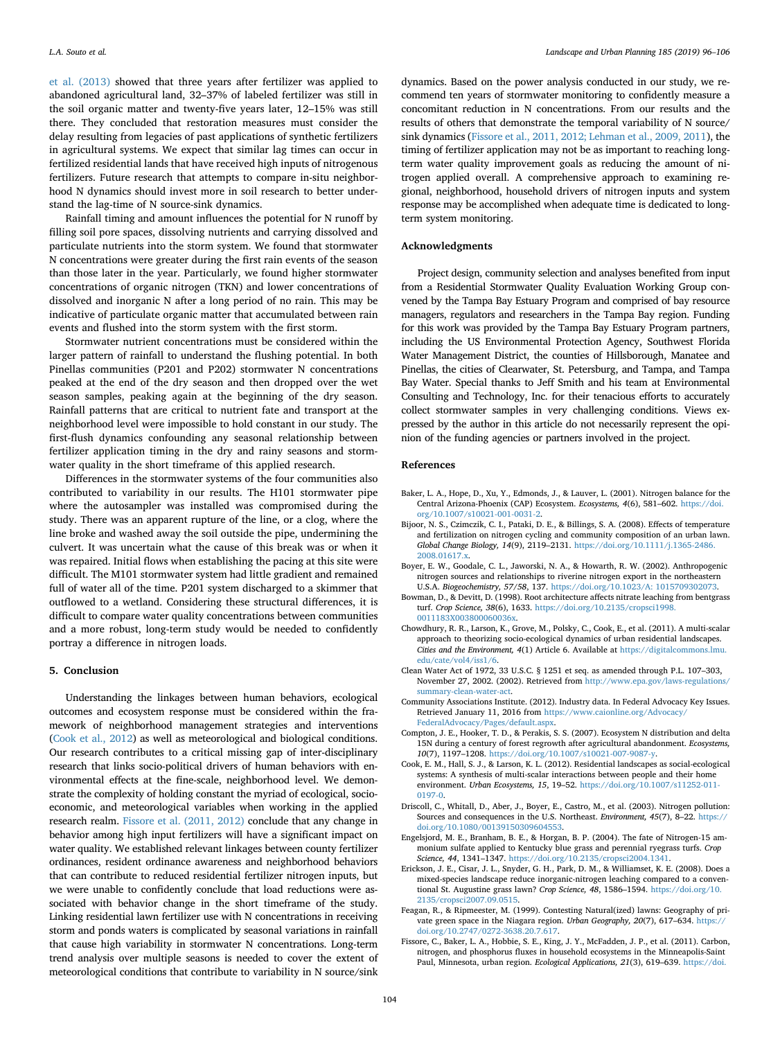et al. (2013) showed that three years after fertilizer was applied to abandoned agricultural land, 32–37% of labeled fertilizer was still in the soil organic matter and twenty-five years later, 12–15% was still there. They concluded that restoration measures must consider the delay resulting from legacies of past applications of synthetic fertilizers in agricultural systems. We expect that similar lag times can occur in fertilized residential lands that have received high inputs of nitrogenous fertilizers. Future research that attempts to compare in-situ neighborhood N dynamics should invest more in soil research to better understand the lag-time of N source-sink dynamics.

Rainfall timing and amount influences the potential for N runoff by filling soil pore spaces, dissolving nutrients and carrying dissolved and particulate nutrients into the storm system. We found that stormwater N concentrations were greater during the first rain events of the season than those later in the year. Particularly, we found higher stormwater concentrations of organic nitrogen (TKN) and lower concentrations of dissolved and inorganic N after a long period of no rain. This may be indicative of particulate organic matter that accumulated between rain events and flushed into the storm system with the first storm.

Stormwater nutrient concentrations must be considered within the larger pattern of rainfall to understand the flushing potential. In both Pinellas communities (P201 and P202) stormwater N concentrations peaked at the end of the dry season and then dropped over the wet season samples, peaking again at the beginning of the dry season. Rainfall patterns that are critical to nutrient fate and transport at the neighborhood level were impossible to hold constant in our study. The first-flush dynamics confounding any seasonal relationship between fertilizer application timing in the dry and rainy seasons and stormwater quality in the short timeframe of this applied research.

Differences in the stormwater systems of the four communities also contributed to variability in our results. The H101 stormwater pipe where the autosampler was installed was compromised during the study. There was an apparent rupture of the line, or a clog, where the line broke and washed away the soil outside the pipe, undermining the culvert. It was uncertain what the cause of this break was or when it was repaired. Initial flows when establishing the pacing at this site were difficult. The M101 stormwater system had little gradient and remained full of water all of the time. P201 system discharged to a skimmer that outflowed to a wetland. Considering these structural differences, it is difficult to compare water quality concentrations between communities and a more robust, long-term study would be needed to confidently portray a difference in nitrogen loads.

#### **5. Conclusion**

Understanding the linkages between human behaviors, ecological outcomes and ecosystem response must be considered within the framework of neighborhood management strategies and interventions (Cook et al., 2012) as well as meteorological and biological conditions. Our research contributes to a critical missing gap of inter-disciplinary research that links socio-political drivers of human behaviors with environmental effects at the fine-scale, neighborhood level. We demonstrate the complexity of holding constant the myriad of ecological, socioeconomic, and meteorological variables when working in the applied research realm. Fissore et al. (2011, 2012) conclude that any change in behavior among high input fertilizers will have a significant impact on water quality. We established relevant linkages between county fertilizer ordinances, resident ordinance awareness and neighborhood behaviors that can contribute to reduced residential fertilizer nitrogen inputs, but we were unable to confidently conclude that load reductions were associated with behavior change in the short timeframe of the study. Linking residential lawn fertilizer use with N concentrations in receiving storm and ponds waters is complicated by seasonal variations in rainfall that cause high variability in stormwater N concentrations. Long-term trend analysis over multiple seasons is needed to cover the extent of meteorological conditions that contribute to variability in N source/sink

dynamics. Based on the power analysis conducted in our study, we recommend ten years of stormwater monitoring to confidently measure a concomitant reduction in N concentrations. From our results and the results of others that demonstrate the temporal variability of N source/ sink dynamics (Fissore et al., 2011, 2012; Lehman et al., 2009, 2011), the timing of fertilizer application may not be as important to reaching longterm water quality improvement goals as reducing the amount of nitrogen applied overall. A comprehensive approach to examining regional, neighborhood, household drivers of nitrogen inputs and system response may be accomplished when adequate time is dedicated to longterm system monitoring.

# **Acknowledgments**

Project design, community selection and analyses benefited from input from a Residential Stormwater Quality Evaluation Working Group convened by the Tampa Bay Estuary Program and comprised of bay resource managers, regulators and researchers in the Tampa Bay region. Funding for this work was provided by the Tampa Bay Estuary Program partners, including the US Environmental Protection Agency, Southwest Florida Water Management District, the counties of Hillsborough, Manatee and Pinellas, the cities of Clearwater, St. Petersburg, and Tampa, and Tampa Bay Water. Special thanks to Jeff Smith and his team at Environmental Consulting and Technology, Inc. for their tenacious efforts to accurately collect stormwater samples in very challenging conditions. Views expressed by the author in this article do not necessarily represent the opinion of the funding agencies or partners involved in the project.

#### **References**

- Baker, L. A., Hope, D., Xu, Y., Edmonds, J., & Lauver, L. (2001). Nitrogen balance for the Central Arizona-Phoenix (CAP) Ecosystem. *Ecosystems, 4*(6), 581–602. https://doi. org/10.1007/s10021-001-0031-2.
- Bijoor, N. S., Czimczik, C. I., Pataki, D. E., & Billings, S. A. (2008). Effects of temperature and fertilization on nitrogen cycling and community composition of an urban lawn. *Global Change Biology, 14*(9), 2119–2131. https://doi.org/10.1111/j.1365-2486. 2008.01617.x.
- Boyer, E. W., Goodale, C. L., Jaworski, N. A., & Howarth, R. W. (2002). Anthropogenic nitrogen sources and relationships to riverine nitrogen export in the northeastern U.S.A. *Biogeochemistry, 57/58*, 137. https://doi.org/10.1023/A: 1015709302073.
- Bowman, D., & Devitt, D. (1998). Root architecture affects nitrate leaching from bentgrass turf. *Crop Science, 38*(6), 1633. https://doi.org/10.2135/cropsci1998. 0011183X003800060036x.
- Chowdhury, R. R., Larson, K., Grove, M., Polsky, C., Cook, E., et al. (2011). A multi-scalar approach to theorizing socio-ecological dynamics of urban residential landscapes. *Cities and the Environment, 4*(1) Article 6. Available at https://digitalcommons.lmu. edu/cate/vol4/iss1/6.
- Clean Water Act of 1972, 33 U.S.C. § 1251 et seq. as amended through P.L. 107–303, November 27, 2002. (2002). Retrieved from http://www.epa.gov/laws-regulations/ summary-clean-water-act.
- Community Associations Institute. (2012). Industry data. In Federal Advocacy Key Issues. Retrieved January 11, 2016 from https://www.caionline.org/Advocacy/ FederalAdvocacy/Pages/default.aspx.
- Compton, J. E., Hooker, T. D., & Perakis, S. S. (2007). Ecosystem N distribution and delta 15N during a century of forest regrowth after agricultural abandonment. *Ecosystems, 10*(7), 1197–1208. https://doi.org/10.1007/s10021-007-9087-y.
- Cook, E. M., Hall, S. J., & Larson, K. L. (2012). Residential landscapes as social-ecological systems: A synthesis of multi-scalar interactions between people and their home environment. *Urban Ecosystems, 15*, 19–52. https://doi.org/10.1007/s11252-011- 0197-0.
- Driscoll, C., Whitall, D., Aber, J., Boyer, E., Castro, M., et al. (2003). Nitrogen pollution: Sources and consequences in the U.S. Northeast. *Environment, 45*(7), 8–22. https:// doi.org/10.1080/00139150309604553.
- Engelsjord, M. E., Branham, B. E., & Horgan, B. P. (2004). The fate of Nitrogen-15 ammonium sulfate applied to Kentucky blue grass and perennial ryegrass turfs. *Crop Science, 44*, 1341–1347. https://doi.org/10.2135/cropsci2004.1341.
- Erickson, J. E., Cisar, J. L., Snyder, G. H., Park, D. M., & Williamset, K. E. (2008). Does a mixed-species landscape reduce inorganic-nitrogen leaching compared to a conventional St. Augustine grass lawn? *Crop Science, 48*, 1586–1594. https://doi.org/10. 2135/cropsci2007.09.0515.
- Feagan, R., & Ripmeester, M. (1999). Contesting Natural(ized) lawns: Geography of private green space in the Niagara region. *Urban Geography, 20*(7), 617–634. https:// doi.org/10.2747/0272-3638.20.7.617.
- Fissore, C., Baker, L. A., Hobbie, S. E., King, J. Y., McFadden, J. P., et al. (2011). Carbon, nitrogen, and phosphorus fluxes in household ecosystems in the Minneapolis-Saint Paul, Minnesota, urban region. *Ecological Applications, 21*(3), 619–639. https://doi.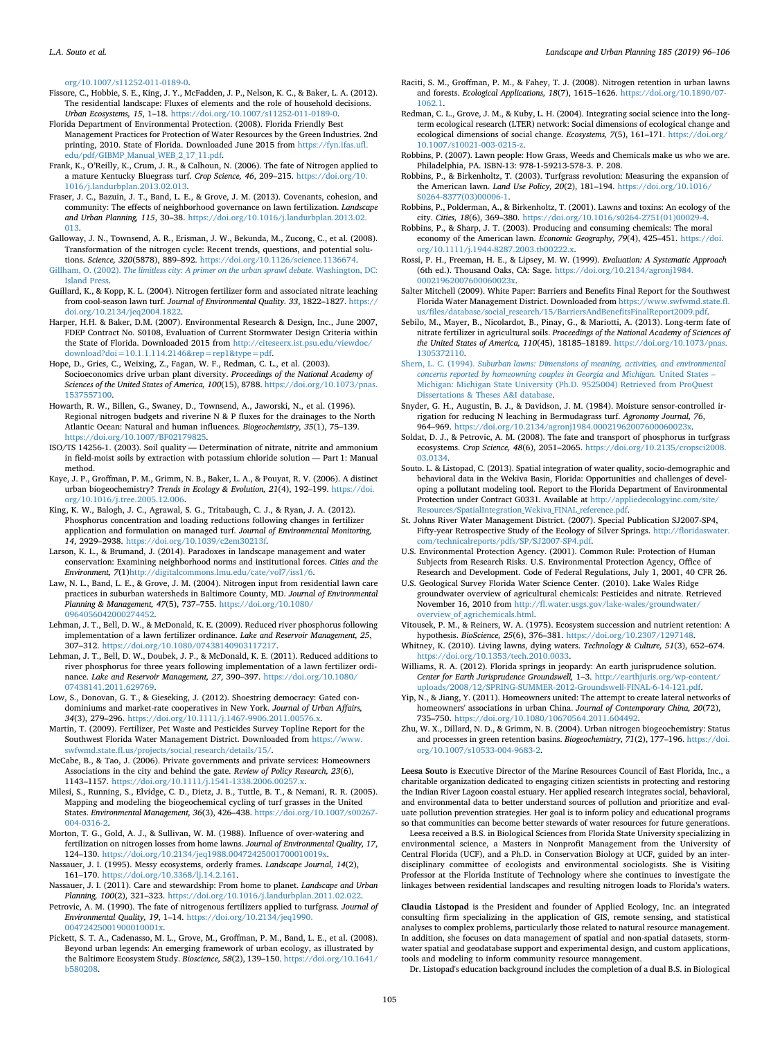#### org/10.1007/s11252-011-0189-0.

- Fissore, C., Hobbie, S. E., King, J. Y., McFadden, J. P., Nelson, K. C., & Baker, L. A. (2012). The residential landscape: Fluxes of elements and the role of household decisions. *Urban Ecosystems, 15*, 1–18. https://doi.org/10.1007/s11252-011-0189-0.
- Florida Department of Environmental Protection. (2008). Florida Friendly Best Management Practices for Protection of Water Resources by the Green Industries. 2nd printing, 2010. State of Florida. Downloaded June 2015 from https://fyn.ifas.ufl. edu/pdf/GIBMP\_Manual\_WEB\_2\_17\_11.pdf.
- Frank, K., O'Reilly, K., Crum, J. R., & Calhoun, N. (2006). The fate of Nitrogen applied to a mature Kentucky Bluegrass turf. *Crop Science, 46*, 209–215. https://doi.org/10. 1016/j.landurbplan.2013.02.013.
- Fraser, J. C., Bazuin, J. T., Band, L. E., & Grove, J. M. (2013). Covenants, cohesion, and community: The effects of neighborhood governance on lawn fertilization. *Landscape and Urban Planning, 115*, 30–38. https://doi.org/10.1016/j.landurbplan.2013.02. 013.
- Galloway, J. N., Townsend, A. R., Erisman, J. W., Bekunda, M., Zucong, C., et al. (2008). Transformation of the nitrogen cycle: Recent trends, questions, and potential solutions. *Science, 320*(5878), 889–892. https://doi.org/10.1126/science.1136674.
- Gillham, O. (2002). *The limitless city: A primer on the urban sprawl debate.* Washington, DC: Island Press.
- Guillard, K., & Kopp, K. L. (2004). Nitrogen fertilizer form and associated nitrate leaching from cool-season lawn turf. *Journal of Environmental Quality. 33*, 1822–1827. https:// doi.org/10.2134/jeq2004.1822.
- Harper, H.H. & Baker, D.M. (2007). Environmental Research & Design, Inc., June 2007, FDEP Contract No. S0108, Evaluation of Current Stormwater Design Criteria within the State of Florida. Downloaded 2015 from http://citeseerx.ist.psu.edu/viewdoc/ download?doi=10.1.1.114.2146&rep=rep1&type=pdf.
- Hope, D., Gries, C., Weixing, Z., Fagan, W. F., Redman, C. L., et al. (2003). Socioeconomics drive urban plant diversity. *Proceedings of the National Academy of Sciences of the United States of America, 100*(15), 8788. https://doi.org/10.1073/pnas. 1537557100.
- Howarth, R. W., Billen, G., Swaney, D., Townsend, A., Jaworski, N., et al. (1996). Regional nitrogen budgets and riverine N & P fluxes for the drainages to the North Atlantic Ocean: Natural and human influences. *Biogeochemistry, 35*(1), 75–139. https://doi.org/10.1007/BF02179825.
- ISO/TS 14256-1. (2003). Soil quality Determination of nitrate, nitrite and ammonium in field-moist soils by extraction with potassium chloride solution — Part 1: Manual method.
- Kaye, J. P., Groffman, P. M., Grimm, N. B., Baker, L. A., & Pouyat, R. V. (2006). A distinct urban biogeochemistry? *Trends in Ecology & Evolution, 21*(4), 192–199. https://doi. org/10.1016/j.tree.2005.12.006.
- King, K. W., Balogh, J. C., Agrawal, S. G., Tritabaugh, C. J., & Ryan, J. A. (2012). Phosphorus concentration and loading reductions following changes in fertilizer application and formulation on managed turf. *Journal of Environmental Monitoring, 14*, 2929–2938. https://doi.org/10.1039/c2em30213f.
- Larson, K. L., & Brumand, J. (2014). Paradoxes in landscape management and water conservation: Examining neighborhood norms and institutional forces. *Cities and the Environment, 7*(1)http://digitalcommons.lmu.edu/cate/vol7/iss1/6.
- Law, N. L., Band, L. E., & Grove, J. M. (2004). Nitrogen input from residential lawn care practices in suburban watersheds in Baltimore County, MD. *Journal of Environmental Planning & Management, 47*(5), 737–755. https://doi.org/10.1080/ 0964056042000274452.
- Lehman, J. T., Bell, D. W., & McDonald, K. E. (2009). Reduced river phosphorus following implementation of a lawn fertilizer ordinance. *Lake and Reservoir Management, 25*, 307–312. https://doi.org/10.1080/07438140903117217.
- Lehman, J. T., Bell, D. W., Doubek, J. P., & McDonald, K. E. (2011). Reduced additions to river phosphorus for three years following implementation of a lawn fertilizer ordinance. *Lake and Reservoir Management, 27*, 390–397. https://doi.org/10.1080/ 07438141.2011.629769.
- Low, S., Donovan, G. T., & Gieseking, J. (2012). Shoestring democracy: Gated condominiums and market-rate cooperatives in New York. *Journal of Urban Affairs, 34*(3), 279–296. https://doi.org/10.1111/j.1467-9906.2011.00576.x.
- Martin, T. (2009). Fertilizer, Pet Waste and Pesticides Survey Topline Report for the Southwest Florida Water Management District. Downloaded from https://www. swfwmd.state.fl.us/projects/social\_research/details/15/.
- McCabe, B., & Tao, J. (2006). Private governments and private services: Homeowners Associations in the city and behind the gate. *Review of Policy Research, 23*(6), 1143–1157. https://doi.org/10.1111/j.1541-1338.2006.00257.x.
- Milesi, S., Running, S., Elvidge, C. D., Dietz, J. B., Tuttle, B. T., & Nemani, R. R. (2005). Mapping and modeling the biogeochemical cycling of turf grasses in the United States. *Environmental Management, 36*(3), 426–438. https://doi.org/10.1007/s00267- 004-0316-2.
- Morton, T. G., Gold, A. J., & Sullivan, W. M. (1988). Influence of over-watering and fertilization on nitrogen losses from home lawns. *Journal of Environmental Quality, 17*, 124–130. https://doi.org/10.2134/jeq1988.00472425001700010019x.
- Nassauer, J. I. (1995). Messy ecosystems, orderly frames. *Landscape Journal, 14*(2), 161–170. https://doi.org/10.3368/lj.14.2.161.
- Nassauer, J. I. (2011). Care and stewardship: From home to planet. *Landscape and Urban Planning, 100*(2), 321–323. https://doi.org/10.1016/j.landurbplan.2011.02.022.
- Petrovic, A. M. (1990). The fate of nitrogenous fertilizers applied to turfgrass. *Journal of Environmental Quality, 19*, 1–14. https://doi.org/10.2134/jeq1990. 00472425001900010001x.
- Pickett, S. T. A., Cadenasso, M. L., Grove, M., Groffman, P. M., Band, L. E., et al. (2008). Beyond urban legends: An emerging framework of urban ecology, as illustrated by the Baltimore Ecosystem Study. *Bioscience, 58*(2), 139–150. https://doi.org/10.1641/ b580208.
- Raciti, S. M., Groffman, P. M., & Fahey, T. J. (2008). Nitrogen retention in urban lawns and forests. *Ecological Applications, 18*(7), 1615–1626. https://doi.org/10.1890/07- 1062.1.
- Redman, C. L., Grove, J. M., & Kuby, L. H. (2004). Integrating social science into the longterm ecological research (LTER) network: Social dimensions of ecological change and ecological dimensions of social change. *Ecosystems, 7*(5), 161–171. https://doi.org/ 10.1007/s10021-003-0215-z.
- Robbins, P. (2007). Lawn people: How Grass, Weeds and Chemicals make us who we are. Philadelphia, PA. ISBN-13: 978-1-59213-578-3. P. 208.
- Robbins, P., & Birkenholtz, T. (2003). Turfgrass revolution: Measuring the expansion of the American lawn. *Land Use Policy, 20*(2), 181–194. https://doi.org/10.1016/ S0264-8377(03)00006-1.
- Robbins, P., Polderman, A., & Birkenholtz, T. (2001). Lawns and toxins: An ecology of the city. *Cities, 18*(6), 369–380. https://doi.org/10.1016/s0264-2751(01)00029-4.
- Robbins, P., & Sharp, J. T. (2003). Producing and consuming chemicals: The moral economy of the American lawn. *Economic Geography, 79*(4), 425–451. https://doi. org/10.1111/j.1944-8287.2003.tb00222.x.
- Rossi, P. H., Freeman, H. E., & Lipsey, M. W. (1999). *Evaluation: A Systematic Approach* (6th ed.). Thousand Oaks, CA: Sage. https://doi.org/10.2134/agronj1984. 00021962007600060023x.
- Salter Mitchell (2009). White Paper: Barriers and Benefits Final Report for the Southwest Florida Water Management District. Downloaded from https://www.swfwmd.state.fl. us/files/database/social\_research/15/BarriersAndBenefitsFinalReport2009.pdf.
- Sebilo, M., Mayer, B., Nicolardot, B., Pinay, G., & Mariotti, A. (2013). Long-term fate of nitrate fertilizer in agricultural soils. *Proceedings of the National Academy of Sciences of the United States of America, 110*(45), 18185–18189. https://doi.org/10.1073/pnas. 1305372110.
- Shern, L. C. (1994). *Suburban lawns: Dimensions of meaning, activities, and environmental concerns reported by homeowning couples in Georgia and Michigan.* United States – Michigan: Michigan State University (Ph.D. 9525004) Retrieved from ProQuest Dissertations & Theses A&I database.
- Snyder, G. H., Augustin, B. J., & Davidson, J. M. (1984). Moisture sensor-controlled irrigation for reducing N leaching in Bermudagrass turf. *Agronomy Journal, 76*, 964–969. https://doi.org/10.2134/agronj1984.00021962007600060023x.
- Soldat, D. J., & Petrovic, A. M. (2008). The fate and transport of phosphorus in turfgrass ecosystems. *Crop Science, 48*(6), 2051–2065. https://doi.org/10.2135/cropsci2008. 03.0134.
- Souto. L. & Listopad, C. (2013). Spatial integration of water quality, socio-demographic and behavioral data in the Wekiva Basin, Florida: Opportunities and challenges of developing a pollutant modeling tool. Report to the Florida Department of Environmental Protection under Contract G0331. Available at http://appliedecologyinc.com/site/ Resources/SpatialIntegration\_Wekiva\_FINAL\_reference.pdf.
- St. Johns River Water Management District. (2007). Special Publication SJ2007-SP4, Fifty-year Retrospective Study of the Ecology of Silver Springs. http://floridaswater. com/technicalreports/pdfs/SP/SJ2007-SP4.pdf.
- U.S. Environmental Protection Agency. (2001). Common Rule: Protection of Human Subjects from Research Risks. U.S. Environmental Protection Agency, Office of Research and Development. Code of Federal Regulations, July 1, 2001, 40 CFR 26.
- U.S. Geological Survey Florida Water Science Center. (2010). Lake Wales Ridge groundwater overview of agricultural chemicals: Pesticides and nitrate. Retrieved November 16, 2010 from http://fl.water.usgs.gov/lake-wales/groundwater/ overview\_of\_agrichemicals.html.
- Vitousek, P. M., & Reiners, W. A. (1975). Ecosystem succession and nutrient retention: A hypothesis. *BioScience, 25*(6), 376–381. https://doi.org/10.2307/1297148.
- Whitney, K. (2010). Living lawns, dying waters. *Technology & Culture, 51*(3), 652–674. https://doi.org/10.1353/tech.2010.0033.
- Williams, R. A. (2012). Florida springs in jeopardy: An earth jurisprudence solution. *Center for Earth Jurisprudence Groundswell,* 1–3. http://earthjuris.org/wp-content/ uploads/2008/12/SPRING-SUMMER-2012-Groundswell-FINAL-6-14-121.pdf.
- Yip, N., & Jiang, Y. (2011). Homeowners united: The attempt to create lateral networks of homeowners' associations in urban China. *Journal of Contemporary China, 20*(72), 735–750. https://doi.org/10.1080/10670564.2011.604492.
- Zhu, W. X., Dillard, N. D., & Grimm, N. B. (2004). Urban nitrogen biogeochemistry: Status and processes in green retention basins. *Biogeochemistry, 71*(2), 177–196. https://doi. org/10.1007/s10533-004-9683-2.

**Leesa Souto** is Executive Director of the Marine Resources Council of East Florida, Inc., a charitable organization dedicated to engaging citizen scientists in protecting and restoring the Indian River Lagoon coastal estuary. Her applied research integrates social, behavioral, and environmental data to better understand sources of pollution and prioritize and evaluate pollution prevention strategies. Her goal is to inform policy and educational programs so that communities can become better stewards of water resources for future generations.

Leesa received a B.S. in Biological Sciences from Florida State University specializing in environmental science, a Masters in Nonprofit Management from the University of Central Florida (UCF), and a Ph.D. in Conservation Biology at UCF, guided by an interdisciplinary committee of ecologists and environmental sociologists. She is Visiting Professor at the Florida Institute of Technology where she continues to investigate the linkages between residential landscapes and resulting nitrogen loads to Florida's waters.

**Claudia Listopad** is the President and founder of Applied Ecology, Inc. an integrated consulting firm specializing in the application of GIS, remote sensing, and statistical analyses to complex problems, particularly those related to natural resource management. In addition, she focuses on data management of spatial and non-spatial datasets, stormwater spatial and geodatabase support and experimental design, and custom applications, tools and modeling to inform community resource management.

Dr. Listopad's education background includes the completion of a dual B.S. in Biological